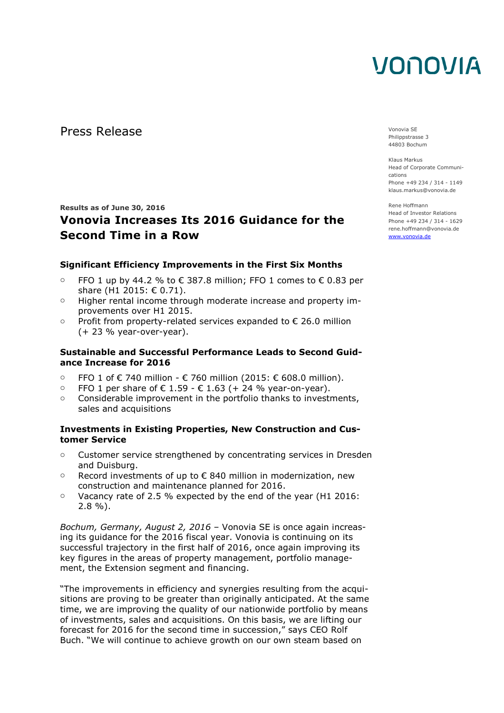Press Release Vonovia SE

**Results as of June 30, 2016** 

### **Vonovia Increases Its 2016 Guidance for the Second Time in a Row**

### **Significant Efficiency Improvements in the First Six Months**

- $\circ$  FFO 1 up by 44.2 % to € 387.8 million; FFO 1 comes to € 0.83 per share (H1 2015: € 0.71).
- o Higher rental income through moderate increase and property improvements over H1 2015.
- $\circ$  Profit from property-related services expanded to € 26.0 million (+ 23 % year-over-year).

### **Sustainable and Successful Performance Leads to Second Guidance Increase for 2016**

- o FFO 1 of € 740 million € 760 million (2015: € 608.0 million).
- o FFO 1 per share of € 1.59 € 1.63 (+ 24 % year-on-year).
- $\circ$  Considerable improvement in the portfolio thanks to investments, sales and acquisitions

### **Investments in Existing Properties, New Construction and Customer Service**

- o Customer service strengthened by concentrating services in Dresden and Duisburg.
- $\circ$  Record investments of up to € 840 million in modernization, new construction and maintenance planned for 2016.
- $\circ$  Vacancy rate of 2.5 % expected by the end of the year (H1 2016: 2.8 %).

*Bochum, Germany, August 2, 2016* – Vonovia SE is once again increasing its guidance for the 2016 fiscal year. Vonovia is continuing on its successful trajectory in the first half of 2016, once again improving its key figures in the areas of property management, portfolio management, the Extension segment and financing.

"The improvements in efficiency and synergies resulting from the acquisitions are proving to be greater than originally anticipated. At the same time, we are improving the quality of our nationwide portfolio by means of investments, sales and acquisitions. On this basis, we are lifting our forecast for 2016 for the second time in succession," says CEO Rolf Buch. "We will continue to achieve growth on our own steam based on

Philippstrasse 3 44803 Bochum

Klaus Markus Head of Corporate Communications Phone +49 234 / 314 - 1149 klaus.markus@vonovia.de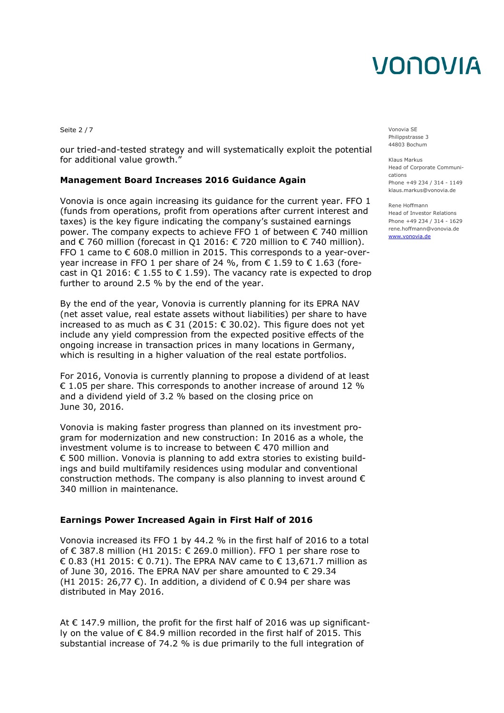Seite 2 / 7 Vonovia SE

our tried-and-tested strategy and will systematically exploit the potential for additional value growth."

### **Management Board Increases 2016 Guidance Again**

Vonovia is once again increasing its guidance for the current year. FFO 1 (funds from operations, profit from operations after current interest and taxes) is the key figure indicating the company's sustained earnings power. The company expects to achieve FFO 1 of between € 740 million and  $\epsilon$  760 million (forecast in Q1 2016:  $\epsilon$  720 million to  $\epsilon$  740 million). FFO 1 came to  $\epsilon$  608.0 million in 2015. This corresponds to a year-overyear increase in FFO 1 per share of 24 %, from € 1.59 to € 1.63 (forecast in Q1 2016:  $\epsilon$  1.55 to  $\epsilon$  1.59). The vacancy rate is expected to drop further to around 2.5 % by the end of the year.

By the end of the year, Vonovia is currently planning for its EPRA NAV (net asset value, real estate assets without liabilities) per share to have increased to as much as € 31 (2015: € 30.02). This figure does not yet include any yield compression from the expected positive effects of the ongoing increase in transaction prices in many locations in Germany, which is resulting in a higher valuation of the real estate portfolios.

For 2016, Vonovia is currently planning to propose a dividend of at least  $\epsilon$  1.05 per share. This corresponds to another increase of around 12 % and a dividend yield of 3.2 % based on the closing price on June 30, 2016.

Vonovia is making faster progress than planned on its investment program for modernization and new construction: In 2016 as a whole, the investment volume is to increase to between € 470 million and € 500 million. Vonovia is planning to add extra stories to existing buildings and build multifamily residences using modular and conventional construction methods. The company is also planning to invest around  $\epsilon$ 340 million in maintenance.

### **Earnings Power Increased Again in First Half of 2016**

Vonovia increased its FFO 1 by 44.2 % in the first half of 2016 to a total of € 387.8 million (H1 2015: € 269.0 million). FFO 1 per share rose to € 0.83 (H1 2015: € 0.71). The EPRA NAV came to € 13,671.7 million as of June 30, 2016. The EPRA NAV per share amounted to € 29.34 (H1 2015: 26,77  $\epsilon$ ). In addition, a dividend of  $\epsilon$  0.94 per share was distributed in May 2016.

At € 147.9 million, the profit for the first half of 2016 was up significantly on the value of € 84.9 million recorded in the first half of 2015. This substantial increase of 74.2 % is due primarily to the full integration of

Philippstrasse 3 44803 Bochum

Klaus Markus Head of Corporate Communications Phone +49 234 / 314 - 1149 klaus.markus@vonovia.de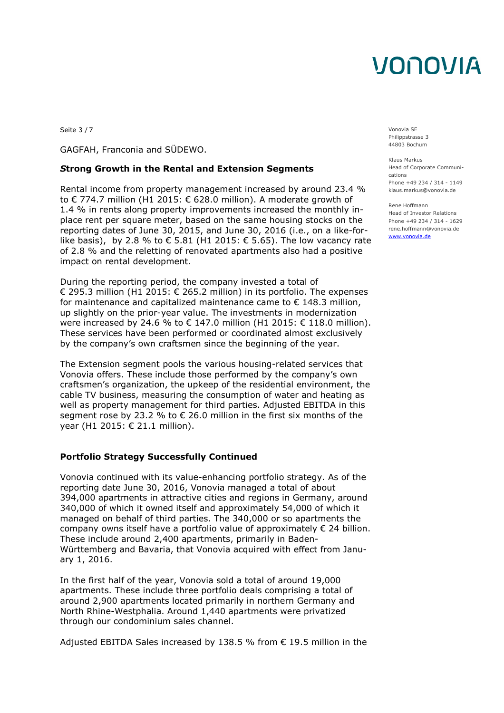Seite 3 / 7 Vonovia SE

GAGFAH, Franconia and SÜDEWO.

#### *S***trong Growth in the Rental and Extension Segments**

Rental income from property management increased by around 23.4 % to € 774.7 million (H1 2015: € 628.0 million). A moderate growth of 1.4 % in rents along property improvements increased the monthly inplace rent per square meter, based on the same housing stocks on the reporting dates of June 30, 2015, and June 30, 2016 (i.e., on a like-forlike basis), by 2.8 % to € 5.81 (H1 2015: € 5.65). The low vacancy rate of 2.8 % and the reletting of renovated apartments also had a positive impact on rental development.

During the reporting period, the company invested a total of € 295.3 million (H1 2015: € 265.2 million) in its portfolio. The expenses for maintenance and capitalized maintenance came to  $\epsilon$  148.3 million, up slightly on the prior-year value. The investments in modernization were increased by 24.6 % to  $\in$  147.0 million (H1 2015:  $\in$  118.0 million). These services have been performed or coordinated almost exclusively by the company's own craftsmen since the beginning of the year.

The Extension segment pools the various housing-related services that Vonovia offers. These include those performed by the company's own craftsmen's organization, the upkeep of the residential environment, the cable TV business, measuring the consumption of water and heating as well as property management for third parties. Adjusted EBITDA in this segment rose by 23.2 % to € 26.0 million in the first six months of the year (H1 2015: € 21.1 million).

#### **Portfolio Strategy Successfully Continued**

Vonovia continued with its value-enhancing portfolio strategy. As of the reporting date June 30, 2016, Vonovia managed a total of about 394,000 apartments in attractive cities and regions in Germany, around 340,000 of which it owned itself and approximately 54,000 of which it managed on behalf of third parties. The 340,000 or so apartments the company owns itself have a portfolio value of approximately  $\epsilon$  24 billion. These include around 2,400 apartments, primarily in Baden-Württemberg and Bavaria, that Vonovia acquired with effect from January 1, 2016.

In the first half of the year, Vonovia sold a total of around 19,000 apartments. These include three portfolio deals comprising a total of around 2,900 apartments located primarily in northern Germany and North Rhine-Westphalia. Around 1,440 apartments were privatized through our condominium sales channel.

Adjusted EBITDA Sales increased by 138.5 % from  $\epsilon$  19.5 million in the

Philippstrasse 3 44803 Bochum

Klaus Markus Head of Corporate Communications Phone +49 234 / 314 - 1149 klaus.markus@vonovia.de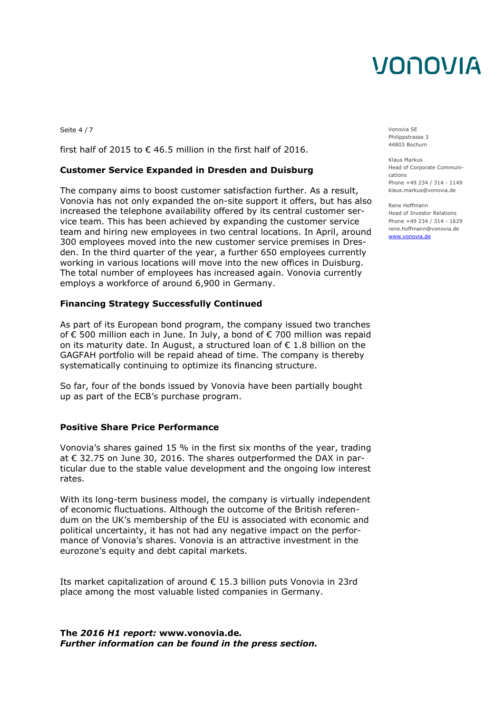Seite 4 / 7 Vonovia SE

first half of 2015 to  $\epsilon$  46.5 million in the first half of 2016.

#### **Customer Service Expanded in Dresden and Duisburg**

The company aims to boost customer satisfaction further. As a result, Vonovia has not only expanded the on-site support it offers, but has also increased the telephone availability offered by its central customer service team. This has been achieved by expanding the customer service team and hiring new employees in two central locations. In April, around 300 employees moved into the new customer service premises in Dresden. In the third quarter of the year, a further 650 employees currently working in various locations will move into the new offices in Duisburg. The total number of employees has increased again. Vonovia currently employs a workforce of around 6,900 in Germany.

#### **Financing Strategy Successfully Continued**

As part of its European bond program, the company issued two tranches of € 500 million each in June. In July, a bond of € 700 million was repaid on its maturity date. In August, a structured loan of  $\epsilon$  1.8 billion on the GAGFAH portfolio will be repaid ahead of time. The company is thereby systematically continuing to optimize its financing structure.

So far, four of the bonds issued by Vonovia have been partially bought up as part of the ECB's purchase program.

#### **Positive Share Price Performance**

Vonovia's shares gained 15 % in the first six months of the year, trading at € 32.75 on June 30, 2016. The shares outperformed the DAX in particular due to the stable value development and the ongoing low interest rates.

With its long-term business model, the company is virtually independent of economic fluctuations. Although the outcome of the British referendum on the UK's membership of the EU is associated with economic and political uncertainty, it has not had any negative impact on the performance of Vonovia's shares. Vonovia is an attractive investment in the eurozone's equity and debt capital markets.

Its market capitalization of around € 15.3 billion puts Vonovia in 23rd place among the most valuable listed companies in Germany.

**The** *2016 H1 report:* **www.vonovia.de***. Further information can be found in the press section.*  Philippstrasse 3 44803 Bochum

Klaus Markus Head of Corporate Communications Phone +49 234 / 314 - 1149 klaus.markus@vonovia.de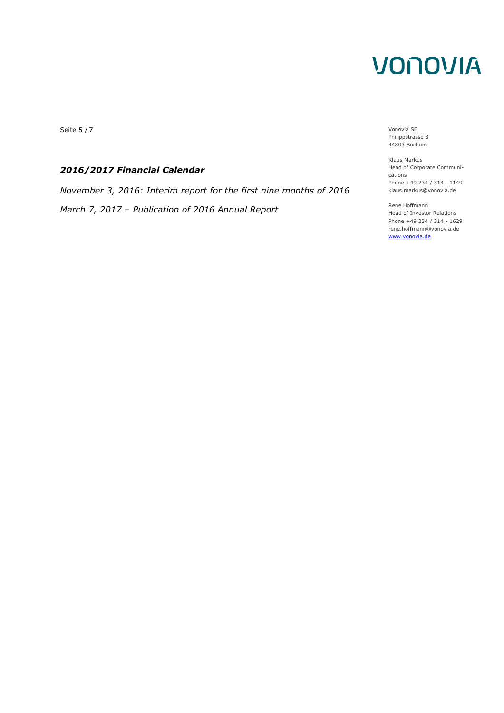Seite 5 / 7 Vonovia SE

### *2016/2017 Financial Calendar*

*November 3, 2016: Interim report for the first nine months of 2016 March 7, 2017 – Publication of 2016 Annual Report*

Philippstrasse 3 44803 Bochum

Klaus Markus Head of Corporate Communications Phone +49 234 / 314 - 1149 klaus.markus@vonovia.de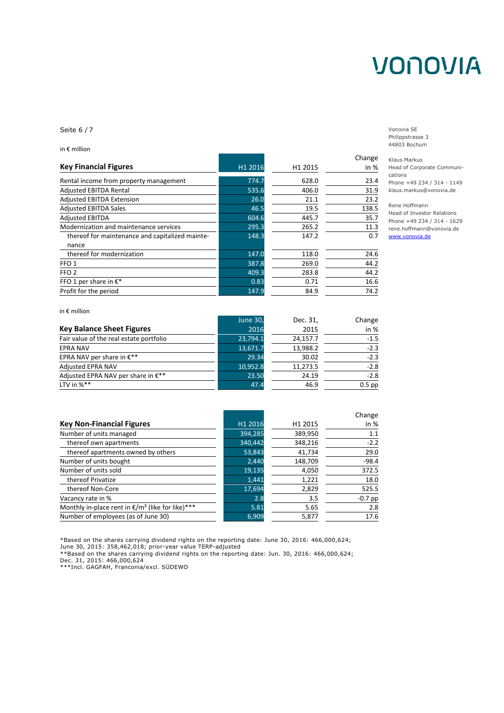Seite 6 / 7 Vonovia SE

in € million

|         |         | Change |
|---------|---------|--------|
| H1 2016 | H1 2015 | in %   |
| 774.7   | 628.0   | 23.4   |
| 535.6   | 406.0   | 31.9   |
| 26.0    | 21.1    | 23.2   |
| 46.5    | 19.5    | 138.5  |
| 604.6   | 445.7   | 35.7   |
| 295.3   | 265.2   | 11.3   |
| 148.3   | 147.2   | 0.7    |
| 147.0   | 118.0   | 24.6   |
| 387.8   | 269.0   | 44.2   |
| 409.3   | 283.8   | 44.2   |
| 0.83    | 0.71    | 16.6   |
| 147.9   | 84.9    | 74.2   |
|         |         |        |

Philippstrasse 3 44803 Bochum

Klaus Markus Head of Corporate Communications Phone +49 234 / 314 - 1149 klaus.markus@vonovia.de

Rene Hoffmann Head of Investor Relations Phone +49 234 / 314 - 1629 rene.hoffmann@vonovia.de www.vonovia.de

|                                         | <b>June 30,</b> | Dec. 31, | Change   |
|-----------------------------------------|-----------------|----------|----------|
| <b>Key Balance Sheet Figures</b>        | 2016            | 2015     | in $%$   |
| Fair value of the real estate portfolio | 23,794.1        | 24,157.7 | $-1.5$   |
| <b>EPRA NAV</b>                         | 13,671.7        | 13,988.2 | $-2.3$   |
| EPRA NAV per share in $E^{**}$          | 29.34           | 30.02    | $-2.3$   |
| <b>Adjusted EPRA NAV</b>                | 10,952.8        | 11,273.5 | $-2.8$   |
| Adjusted EPRA NAV per share in $E^{**}$ | 23.50           | 24.19    | $-2.8$   |
| LTV in $\%^{**}$                        | 47.4            | 46.9     | $0.5$ pp |

|         |         | Change    |
|---------|---------|-----------|
| H1 2016 | H1 2015 | in %      |
| 394,285 | 389,950 | 1.1       |
| 340,442 | 348,216 | $-2.2$    |
| 53,843  | 41,734  | 29.0      |
| 2,440   | 148,709 | $-98.4$   |
| 19,135  | 4,050   | 372.5     |
| 1,441   | 1,221   | 18.0      |
| 17,694  | 2,829   | 525.5     |
| 2.8     | 3.5     | $-0.7$ pp |
| 5.81    | 5.65    | 2.8       |
| 6,909   | 5,877   | 17.6      |
|         |         |           |

\*Based on the shares carrying dividend rights on the reporting date: June 30, 2016: 466,000,624; June 30, 2015: 358,462,018; prior-year value TERP-adjusted

\*\*Based on the shares carrying dividend rights on the reporting date: Jun. 30, 2016: 466,000,624; Dec. 31, 2015: 466,000,624

\*\*\*Incl. GAGFAH, Franconia/excl. SÜDEWO